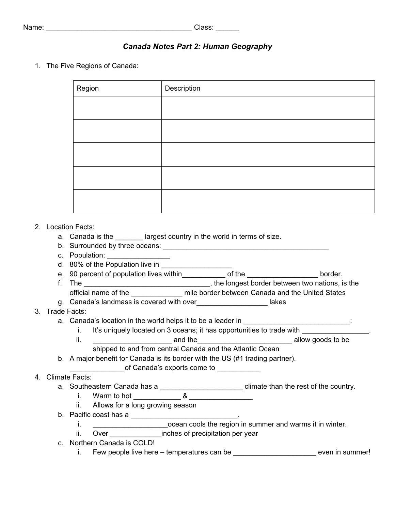# *Canada Notes Part 2: Human Geography*

1. The Five Regions of Canada:

| Region | Description |
|--------|-------------|
|        |             |
|        |             |
|        |             |
|        |             |
|        |             |

## 2. Location Facts:

- a. Canada is the largest country in the world in terms of size.
- b. Surrounded by three oceans: \_\_\_\_\_\_\_\_\_\_\_\_\_\_\_\_\_\_\_\_\_\_\_\_\_\_\_\_\_\_\_\_\_\_\_\_\_\_\_\_\_\_
- c. Population: \_\_\_\_\_\_\_\_\_\_\_\_\_\_\_\_
- d. 80% of the Population live in \_\_\_\_\_\_\_\_\_\_\_\_\_\_\_\_\_\_
- e. 90 percent of population lives within electronic of the the settlem border.
- f. The <u>Electronic and the longest border between two nations, is the</u> structure of the structure of the structure of the structure of the structure of the structure of the structure of the structure of the structure of th official name of the \_\_\_\_\_\_\_\_\_\_\_\_\_ mile border between Canada and the United States
- g. Canada's landmass is covered with over\_\_\_\_\_\_\_\_\_\_\_\_\_\_\_\_\_\_ lakes
- 3. Trade Facts:
	- a. Canada's location in the world helps it to be a leader in **with the set of the set of the set of** 
		- i. It's uniquely located on 3 oceans; it has opportunities to trade with
		- ii. The contract of the contract and the contract of the contract allow goods to be allow goods to be allow goods to be allow goods to be allow goods to be allow goods to be allow goods to be allow goods to be allow goods shipped to and from central Canada and the Atlantic Ocean
	- b. A major benefit for Canada is its border with the US (#1 trading partner).
		- of Canada's exports come to \_\_\_\_\_\_\_\_\_\_\_

# 4. Climate Facts:

- a. Southeastern Canada has a \_\_\_\_\_\_\_\_\_\_\_\_\_\_\_\_\_\_\_\_\_\_\_\_\_\_\_ climate than the rest of the country.
	- i. Warm to hot  $\overline{\text{8}}$
	- ii. Allows for a long growing season
- b. Pacific coast has a  $\qquad \qquad$ 
	- i. \_\_\_\_\_\_\_\_\_\_\_\_\_\_\_\_\_\_\_ocean cools the region in summer and warms it in winter.
	- ii. Over **contained inches of precipitation per year**
- c. Northern Canada is COLD!
	- i. Few people live here temperatures can be \_\_\_\_\_\_\_\_\_\_\_\_\_\_\_\_\_\_\_\_\_\_\_\_\_\_\_\_ even in summer!